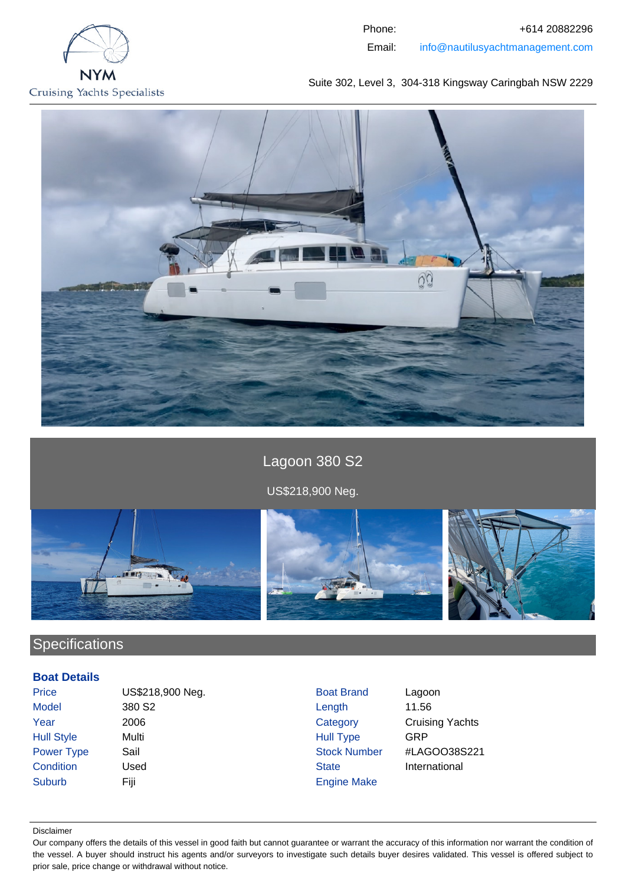

Phone: +614 20882296 Email: info@nautilusyachtmanagement.com

Suite 302, Level 3, 304-318 Kingsway Caringbah NSW 2229



Lagoon 380 S2 US\$218,900 Neg.



# **Specifications**

## **Boat Details**

| <b>Price</b>      | US\$218,900 Neg.   | <b>Boat Brand</b>   | Lagoon                 |
|-------------------|--------------------|---------------------|------------------------|
| <b>Model</b>      | 380 S <sub>2</sub> | Length              | 11.56                  |
| Year              | 2006               | Category            | <b>Cruising Yachts</b> |
| <b>Hull Style</b> | Multi              | <b>Hull Type</b>    | GRP                    |
| <b>Power Type</b> | Sail               | <b>Stock Number</b> | #LAGOO38S221           |
| Condition         | Used               | <b>State</b>        | International          |
| <b>Suburb</b>     | Fiji               | <b>Engine Make</b>  |                        |

#### Disclaimer

Our company offers the details of this vessel in good faith but cannot guarantee or warrant the accuracy of this information nor warrant the condition of the vessel. A buyer should instruct his agents and/or surveyors to investigate such details buyer desires validated. This vessel is offered subject to prior sale, price change or withdrawal without notice.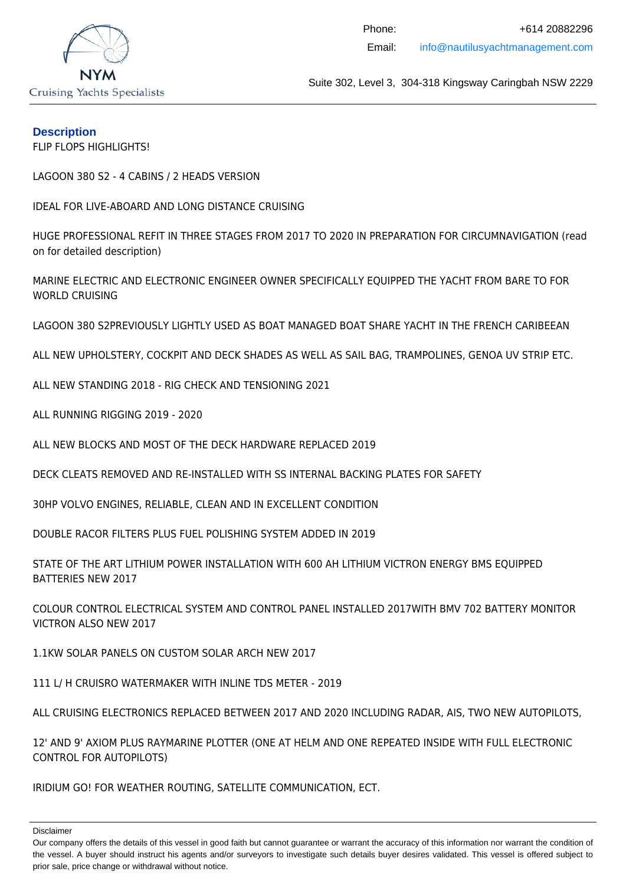

## **Description**

FLIP FLOPS HIGHLIGHTS!

LAGOON 380 S2 - 4 CABINS / 2 HEADS VERSION

IDEAL FOR LIVE-ABOARD AND LONG DISTANCE CRUISING

HUGE PROFESSIONAL REFIT IN THREE STAGES FROM 2017 TO 2020 IN PREPARATION FOR CIRCUMNAVIGATION (read on for detailed description)

MARINE ELECTRIC AND ELECTRONIC ENGINEER OWNER SPECIFICALLY EQUIPPED THE YACHT FROM BARE TO FOR WORLD CRUISING

LAGOON 380 S2PREVIOUSLY LIGHTLY USED AS BOAT MANAGED BOAT SHARE YACHT IN THE FRENCH CARIBEEAN

ALL NEW UPHOLSTERY, COCKPIT AND DECK SHADES AS WELL AS SAIL BAG, TRAMPOLINES, GENOA UV STRIP ETC.

ALL NEW STANDING 2018 - RIG CHECK AND TENSIONING 2021

ALL RUNNING RIGGING 2019 - 2020

ALL NEW BLOCKS AND MOST OF THE DECK HARDWARE REPLACED 2019

DECK CLEATS REMOVED AND RE-INSTALLED WITH SS INTERNAL BACKING PLATES FOR SAFETY

30HP VOLVO ENGINES, RELIABLE, CLEAN AND IN EXCELLENT CONDITION

DOUBLE RACOR FILTERS PLUS FUEL POLISHING SYSTEM ADDED IN 2019

STATE OF THE ART LITHIUM POWER INSTALLATION WITH 600 AH LITHIUM VICTRON ENERGY BMS EQUIPPED BATTERIES NEW 2017

COLOUR CONTROL ELECTRICAL SYSTEM AND CONTROL PANEL INSTALLED 2017WITH BMV 702 BATTERY MONITOR VICTRON ALSO NEW 2017

1.1KW SOLAR PANELS ON CUSTOM SOLAR ARCH NEW 2017

111 L/ H CRUISRO WATERMAKER WITH INLINE TDS METER - 2019

ALL CRUISING ELECTRONICS REPLACED BETWEEN 2017 AND 2020 INCLUDING RADAR, AIS, TWO NEW AUTOPILOTS,

12' AND 9' AXIOM PLUS RAYMARINE PLOTTER (ONE AT HELM AND ONE REPEATED INSIDE WITH FULL ELECTRONIC CONTROL FOR AUTOPILOTS)

IRIDIUM GO! FOR WEATHER ROUTING, SATELLITE COMMUNICATION, ECT.

Our company offers the details of this vessel in good faith but cannot guarantee or warrant the accuracy of this information nor warrant the condition of the vessel. A buyer should instruct his agents and/or surveyors to investigate such details buyer desires validated. This vessel is offered subject to prior sale, price change or withdrawal without notice.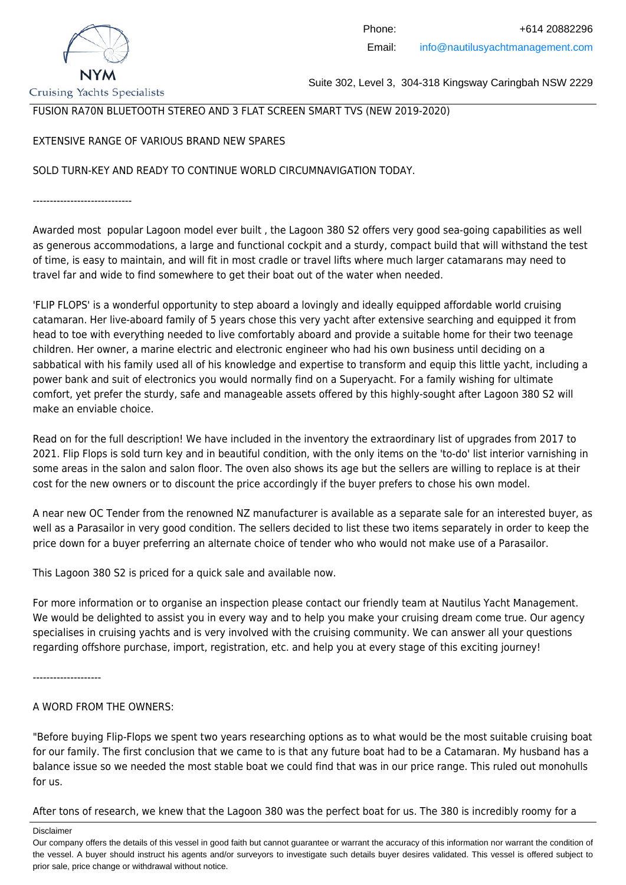

Suite 302, Level 3, 304-318 Kingsway Caringbah NSW 2229

# FUSION RA70N BLUETOOTH STEREO AND 3 FLAT SCREEN SMART TVS (NEW 2019-2020)

# EXTENSIVE RANGE OF VARIOUS BRAND NEW SPARES

SOLD TURN-KEY AND READY TO CONTINUE WORLD CIRCUMNAVIGATION TODAY.

-----------------------------

Awarded most popular Lagoon model ever built , the Lagoon 380 S2 offers very good sea-going capabilities as well as generous accommodations, a large and functional cockpit and a sturdy, compact build that will withstand the test of time, is easy to maintain, and will fit in most cradle or travel lifts where much larger catamarans may need to travel far and wide to find somewhere to get their boat out of the water when needed.

'FLIP FLOPS' is a wonderful opportunity to step aboard a lovingly and ideally equipped affordable world cruising catamaran. Her live-aboard family of 5 years chose this very yacht after extensive searching and equipped it from head to toe with everything needed to live comfortably aboard and provide a suitable home for their two teenage children. Her owner, a marine electric and electronic engineer who had his own business until deciding on a sabbatical with his family used all of his knowledge and expertise to transform and equip this little yacht, including a power bank and suit of electronics you would normally find on a Superyacht. For a family wishing for ultimate comfort, yet prefer the sturdy, safe and manageable assets offered by this highly-sought after Lagoon 380 S2 will make an enviable choice.

Read on for the full description! We have included in the inventory the extraordinary list of upgrades from 2017 to 2021. Flip Flops is sold turn key and in beautiful condition, with the only items on the 'to-do' list interior varnishing in some areas in the salon and salon floor. The oven also shows its age but the sellers are willing to replace is at their cost for the new owners or to discount the price accordingly if the buyer prefers to chose his own model.

A near new OC Tender from the renowned NZ manufacturer is available as a separate sale for an interested buyer, as well as a Parasailor in very good condition. The sellers decided to list these two items separately in order to keep the price down for a buyer preferring an alternate choice of tender who who would not make use of a Parasailor.

This Lagoon 380 S2 is priced for a quick sale and available now.

For more information or to organise an inspection please contact our friendly team at Nautilus Yacht Management. We would be delighted to assist you in every way and to help you make your cruising dream come true. Our agency specialises in cruising yachts and is very involved with the cruising community. We can answer all your questions regarding offshore purchase, import, registration, etc. and help you at every stage of this exciting journey!

--------------------

# A WORD FROM THE OWNERS:

"Before buying Flip-Flops we spent two years researching options as to what would be the most suitable cruising boat for our family. The first conclusion that we came to is that any future boat had to be a Catamaran. My husband has a balance issue so we needed the most stable boat we could find that was in our price range. This ruled out monohulls for us.

After tons of research, we knew that the Lagoon 380 was the perfect boat for us. The 380 is incredibly roomy for a

Our company offers the details of this vessel in good faith but cannot guarantee or warrant the accuracy of this information nor warrant the condition of the vessel. A buyer should instruct his agents and/or surveyors to investigate such details buyer desires validated. This vessel is offered subject to prior sale, price change or withdrawal without notice.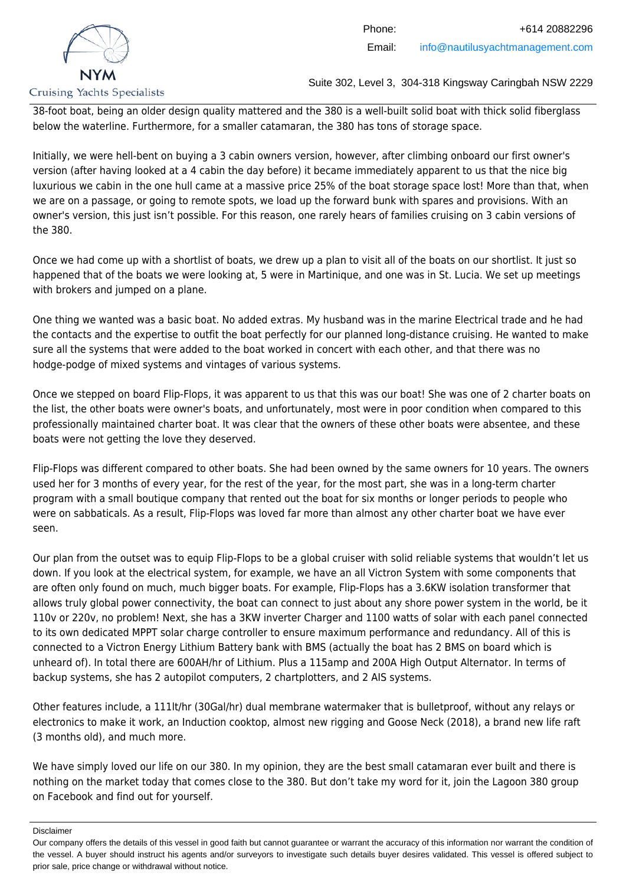

38-foot boat, being an older design quality mattered and the 380 is a well-built solid boat with thick solid fiberglass below the waterline. Furthermore, for a smaller catamaran, the 380 has tons of storage space.

Initially, we were hell-bent on buying a 3 cabin owners version, however, after climbing onboard our first owner's version (after having looked at a 4 cabin the day before) it became immediately apparent to us that the nice big luxurious we cabin in the one hull came at a massive price 25% of the boat storage space lost! More than that, when we are on a passage, or going to remote spots, we load up the forward bunk with spares and provisions. With an owner's version, this just isn't possible. For this reason, one rarely hears of families cruising on 3 cabin versions of the 380.

Once we had come up with a shortlist of boats, we drew up a plan to visit all of the boats on our shortlist. It just so happened that of the boats we were looking at, 5 were in Martinique, and one was in St. Lucia. We set up meetings with brokers and jumped on a plane.

One thing we wanted was a basic boat. No added extras. My husband was in the marine Electrical trade and he had the contacts and the expertise to outfit the boat perfectly for our planned long-distance cruising. He wanted to make sure all the systems that were added to the boat worked in concert with each other, and that there was no hodge-podge of mixed systems and vintages of various systems.

Once we stepped on board Flip-Flops, it was apparent to us that this was our boat! She was one of 2 charter boats on the list, the other boats were owner's boats, and unfortunately, most were in poor condition when compared to this professionally maintained charter boat. It was clear that the owners of these other boats were absentee, and these boats were not getting the love they deserved.

Flip-Flops was different compared to other boats. She had been owned by the same owners for 10 years. The owners used her for 3 months of every year, for the rest of the year, for the most part, she was in a long-term charter program with a small boutique company that rented out the boat for six months or longer periods to people who were on sabbaticals. As a result, Flip-Flops was loved far more than almost any other charter boat we have ever seen.

Our plan from the outset was to equip Flip-Flops to be a global cruiser with solid reliable systems that wouldn't let us down. If you look at the electrical system, for example, we have an all Victron System with some components that are often only found on much, much bigger boats. For example, Flip-Flops has a 3.6KW isolation transformer that allows truly global power connectivity, the boat can connect to just about any shore power system in the world, be it 110v or 220v, no problem! Next, she has a 3KW inverter Charger and 1100 watts of solar with each panel connected to its own dedicated MPPT solar charge controller to ensure maximum performance and redundancy. All of this is connected to a Victron Energy Lithium Battery bank with BMS (actually the boat has 2 BMS on board which is unheard of). In total there are 600AH/hr of Lithium. Plus a 115amp and 200A High Output Alternator. In terms of backup systems, she has 2 autopilot computers, 2 chartplotters, and 2 AIS systems.

Other features include, a 111lt/hr (30Gal/hr) dual membrane watermaker that is bulletproof, without any relays or electronics to make it work, an Induction cooktop, almost new rigging and Goose Neck (2018), a brand new life raft (3 months old), and much more.

We have simply loved our life on our 380. In my opinion, they are the best small catamaran ever built and there is nothing on the market today that comes close to the 380. But don't take my word for it, join the Lagoon 380 group on Facebook and find out for yourself.

Our company offers the details of this vessel in good faith but cannot guarantee or warrant the accuracy of this information nor warrant the condition of the vessel. A buyer should instruct his agents and/or surveyors to investigate such details buyer desires validated. This vessel is offered subject to prior sale, price change or withdrawal without notice.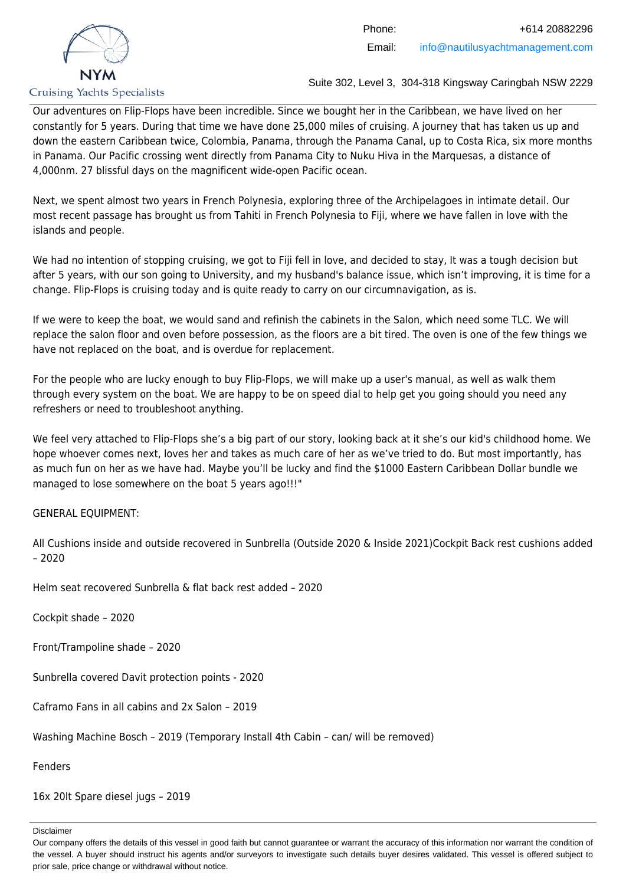

Our adventures on Flip-Flops have been incredible. Since we bought her in the Caribbean, we have lived on her constantly for 5 years. During that time we have done 25,000 miles of cruising. A journey that has taken us up and down the eastern Caribbean twice, Colombia, Panama, through the Panama Canal, up to Costa Rica, six more months in Panama. Our Pacific crossing went directly from Panama City to Nuku Hiva in the Marquesas, a distance of 4,000nm. 27 blissful days on the magnificent wide-open Pacific ocean.

Next, we spent almost two years in French Polynesia, exploring three of the Archipelagoes in intimate detail. Our most recent passage has brought us from Tahiti in French Polynesia to Fiji, where we have fallen in love with the islands and people.

We had no intention of stopping cruising, we got to Fiji fell in love, and decided to stay, It was a tough decision but after 5 years, with our son going to University, and my husband's balance issue, which isn't improving, it is time for a change. Flip-Flops is cruising today and is quite ready to carry on our circumnavigation, as is.

If we were to keep the boat, we would sand and refinish the cabinets in the Salon, which need some TLC. We will replace the salon floor and oven before possession, as the floors are a bit tired. The oven is one of the few things we have not replaced on the boat, and is overdue for replacement.

For the people who are lucky enough to buy Flip-Flops, we will make up a user's manual, as well as walk them through every system on the boat. We are happy to be on speed dial to help get you going should you need any refreshers or need to troubleshoot anything.

We feel very attached to Flip-Flops she's a big part of our story, looking back at it she's our kid's childhood home. We hope whoever comes next, loves her and takes as much care of her as we've tried to do. But most importantly, has as much fun on her as we have had. Maybe you'll be lucky and find the \$1000 Eastern Caribbean Dollar bundle we managed to lose somewhere on the boat 5 years ago!!!"

# GENERAL EQUIPMENT:

All Cushions inside and outside recovered in Sunbrella (Outside 2020 & Inside 2021)Cockpit Back rest cushions added – 2020

Helm seat recovered Sunbrella & flat back rest added – 2020

Cockpit shade – 2020

Front/Trampoline shade – 2020

Sunbrella covered Davit protection points - 2020

Caframo Fans in all cabins and 2x Salon – 2019

Washing Machine Bosch – 2019 (Temporary Install 4th Cabin – can/ will be removed)

Fenders

16x 20lt Spare diesel jugs – 2019

Our company offers the details of this vessel in good faith but cannot guarantee or warrant the accuracy of this information nor warrant the condition of the vessel. A buyer should instruct his agents and/or surveyors to investigate such details buyer desires validated. This vessel is offered subject to prior sale, price change or withdrawal without notice.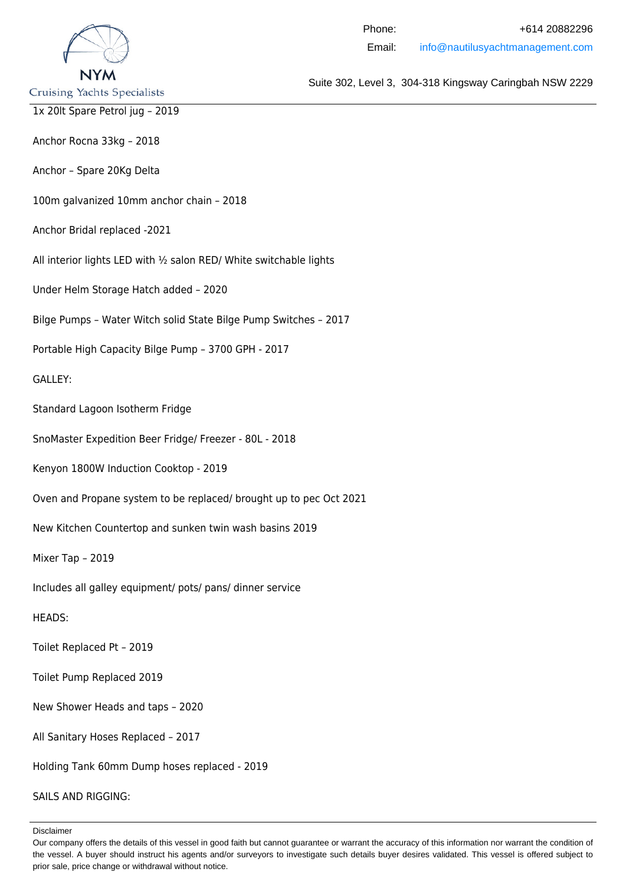

Anchor Rocna 33kg – 2018

Anchor – Spare 20Kg Delta

100m galvanized 10mm anchor chain – 2018

Anchor Bridal replaced -2021

All interior lights LED with ½ salon RED/ White switchable lights

Under Helm Storage Hatch added – 2020

Bilge Pumps – Water Witch solid State Bilge Pump Switches – 2017

Portable High Capacity Bilge Pump – 3700 GPH - 2017

GALLEY:

Standard Lagoon Isotherm Fridge

SnoMaster Expedition Beer Fridge/ Freezer - 80L - 2018

Kenyon 1800W Induction Cooktop - 2019

Oven and Propane system to be replaced/ brought up to pec Oct 2021

New Kitchen Countertop and sunken twin wash basins 2019

Mixer Tap – 2019

Includes all galley equipment/ pots/ pans/ dinner service

#### HEADS:

Toilet Replaced Pt – 2019

Toilet Pump Replaced 2019

New Shower Heads and taps – 2020

All Sanitary Hoses Replaced – 2017

Holding Tank 60mm Dump hoses replaced - 2019

SAILS AND RIGGING:

Disclaimer

Suite 302, Level 3, 304-318 Kingsway Caringbah NSW 2229

Phone: +614 20882296 Email: info@nautilusyachtmanagement.com

Our company offers the details of this vessel in good faith but cannot guarantee or warrant the accuracy of this information nor warrant the condition of the vessel. A buyer should instruct his agents and/or surveyors to investigate such details buyer desires validated. This vessel is offered subject to prior sale, price change or withdrawal without notice.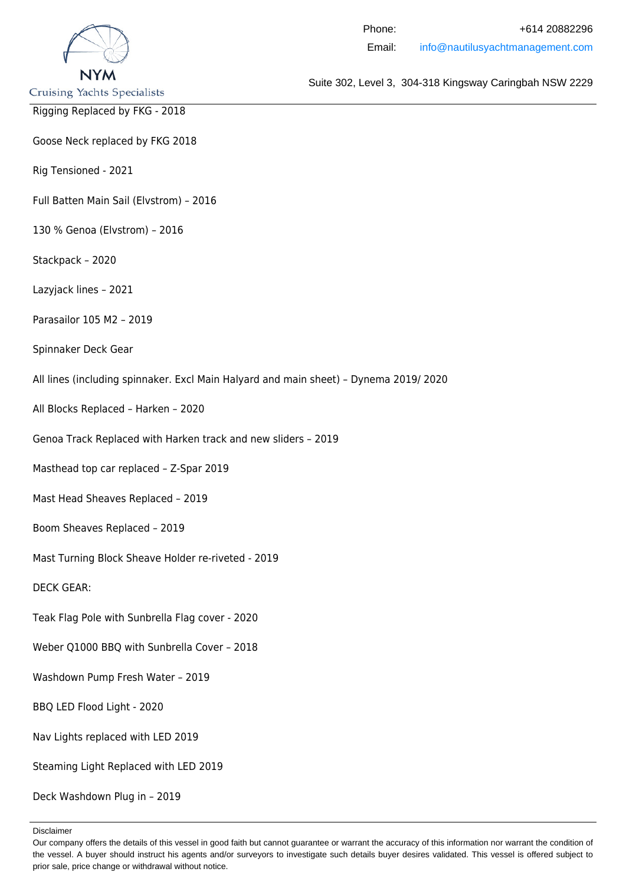

- Rigging Replaced by FKG 2018
- Goose Neck replaced by FKG 2018

Rig Tensioned - 2021

- Full Batten Main Sail (Elvstrom) 2016
- 130 % Genoa (Elvstrom) 2016
- Stackpack 2020
- Lazyjack lines 2021
- Parasailor 105 M2 2019
- Spinnaker Deck Gear
- All lines (including spinnaker. Excl Main Halyard and main sheet) Dynema 2019/ 2020
- All Blocks Replaced Harken 2020
- Genoa Track Replaced with Harken track and new sliders 2019
- Masthead top car replaced Z-Spar 2019
- Mast Head Sheaves Replaced 2019
- Boom Sheaves Replaced 2019
- Mast Turning Block Sheave Holder re-riveted 2019
- DECK GEAR:
- Teak Flag Pole with Sunbrella Flag cover 2020
- Weber Q1000 BBQ with Sunbrella Cover 2018
- Washdown Pump Fresh Water 2019
- BBQ LED Flood Light 2020
- Nav Lights replaced with LED 2019
- Steaming Light Replaced with LED 2019
- Deck Washdown Plug in 2019

Suite 302, Level 3, 304-318 Kingsway Caringbah NSW 2229

Phone: +614 20882296 Email: info@nautilusyachtmanagement.com

Our company offers the details of this vessel in good faith but cannot guarantee or warrant the accuracy of this information nor warrant the condition of the vessel. A buyer should instruct his agents and/or surveyors to investigate such details buyer desires validated. This vessel is offered subject to prior sale, price change or withdrawal without notice.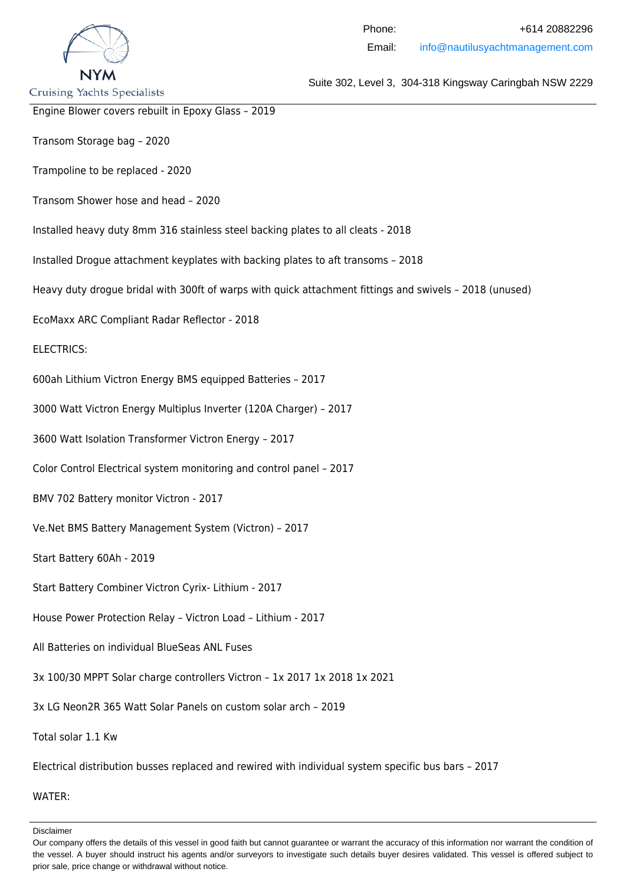

Suite 302, Level 3, 304-318 Kingsway Caringbah NSW 2229

Engine Blower covers rebuilt in Epoxy Glass – 2019

Transom Storage bag – 2020

Trampoline to be replaced - 2020

Transom Shower hose and head – 2020

Installed heavy duty 8mm 316 stainless steel backing plates to all cleats - 2018

Installed Drogue attachment keyplates with backing plates to aft transoms – 2018

Heavy duty drogue bridal with 300ft of warps with quick attachment fittings and swivels – 2018 (unused)

EcoMaxx ARC Compliant Radar Reflector - 2018

#### ELECTRICS:

600ah Lithium Victron Energy BMS equipped Batteries – 2017

3000 Watt Victron Energy Multiplus Inverter (120A Charger) – 2017

3600 Watt Isolation Transformer Victron Energy – 2017

Color Control Electrical system monitoring and control panel – 2017

BMV 702 Battery monitor Victron - 2017

Ve.Net BMS Battery Management System (Victron) – 2017

Start Battery 60Ah - 2019

Start Battery Combiner Victron Cyrix- Lithium - 2017

House Power Protection Relay – Victron Load – Lithium - 2017

All Batteries on individual BlueSeas ANL Fuses

3x 100/30 MPPT Solar charge controllers Victron – 1x 2017 1x 2018 1x 2021

3x LG Neon2R 365 Watt Solar Panels on custom solar arch – 2019

Total solar 1.1 Kw

Electrical distribution busses replaced and rewired with individual system specific bus bars – 2017

WATER:

Our company offers the details of this vessel in good faith but cannot guarantee or warrant the accuracy of this information nor warrant the condition of the vessel. A buyer should instruct his agents and/or surveyors to investigate such details buyer desires validated. This vessel is offered subject to prior sale, price change or withdrawal without notice.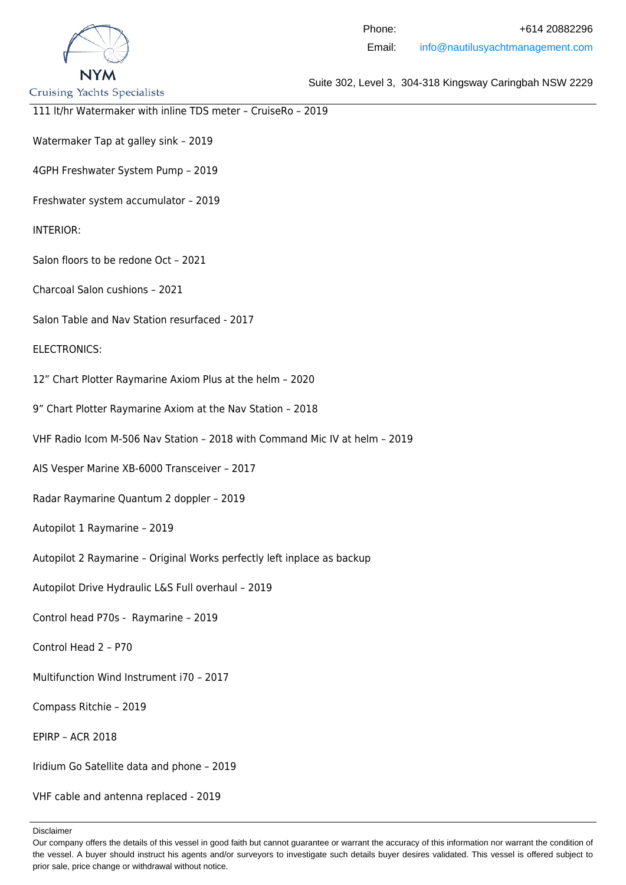

Suite 302, Level 3, 304-318 Kingsway Caringbah NSW 2229

111 lt/hr Watermaker with inline TDS meter – CruiseRo – 2019

Watermaker Tap at galley sink – 2019

4GPH Freshwater System Pump – 2019

Freshwater system accumulator – 2019

INTERIOR:

Salon floors to be redone Oct – 2021

Charcoal Salon cushions – 2021

Salon Table and Nav Station resurfaced - 2017

ELECTRONICS:

12" Chart Plotter Raymarine Axiom Plus at the helm – 2020

9" Chart Plotter Raymarine Axiom at the Nav Station – 2018

VHF Radio Icom M-506 Nav Station – 2018 with Command Mic IV at helm – 2019

AIS Vesper Marine XB-6000 Transceiver – 2017

Radar Raymarine Quantum 2 doppler – 2019

Autopilot 1 Raymarine – 2019

Autopilot 2 Raymarine – Original Works perfectly left inplace as backup

Autopilot Drive Hydraulic L&S Full overhaul – 2019

Control head P70s - Raymarine – 2019

Control Head 2 – P70

Multifunction Wind Instrument i70 – 2017

Compass Ritchie – 2019

EPIRP – ACR 2018

Iridium Go Satellite data and phone – 2019

VHF cable and antenna replaced - 2019

Our company offers the details of this vessel in good faith but cannot guarantee or warrant the accuracy of this information nor warrant the condition of the vessel. A buyer should instruct his agents and/or surveyors to investigate such details buyer desires validated. This vessel is offered subject to prior sale, price change or withdrawal without notice.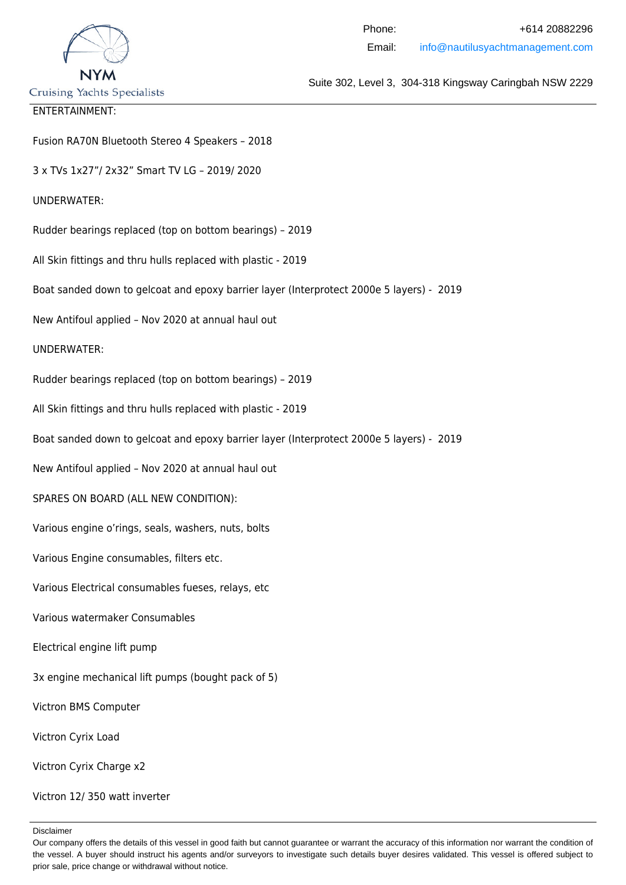

## ENTERTAINMENT:

Fusion RA70N Bluetooth Stereo 4 Speakers – 2018

3 x TVs 1x27"/ 2x32" Smart TV LG – 2019/ 2020

UNDERWATER:

Rudder bearings replaced (top on bottom bearings) – 2019

All Skin fittings and thru hulls replaced with plastic - 2019

Boat sanded down to gelcoat and epoxy barrier layer (Interprotect 2000e 5 layers) - 2019

New Antifoul applied – Nov 2020 at annual haul out

#### UNDERWATER:

Rudder bearings replaced (top on bottom bearings) – 2019

All Skin fittings and thru hulls replaced with plastic - 2019

Boat sanded down to gelcoat and epoxy barrier layer (Interprotect 2000e 5 layers) - 2019

New Antifoul applied – Nov 2020 at annual haul out

SPARES ON BOARD (ALL NEW CONDITION):

Various engine o'rings, seals, washers, nuts, bolts

Various Engine consumables, filters etc.

Various Electrical consumables fueses, relays, etc

Various watermaker Consumables

Electrical engine lift pump

3x engine mechanical lift pumps (bought pack of 5)

Victron BMS Computer

Victron Cyrix Load

Victron Cyrix Charge x2

Victron 12/ 350 watt inverter

Our company offers the details of this vessel in good faith but cannot guarantee or warrant the accuracy of this information nor warrant the condition of the vessel. A buyer should instruct his agents and/or surveyors to investigate such details buyer desires validated. This vessel is offered subject to prior sale, price change or withdrawal without notice.